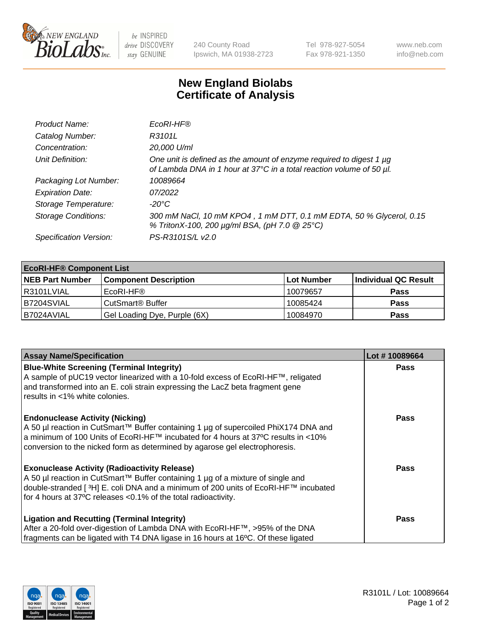

 $be$  INSPIRED drive DISCOVERY stay GENUINE

240 County Road Ipswich, MA 01938-2723 Tel 978-927-5054 Fax 978-921-1350 www.neb.com info@neb.com

## **New England Biolabs Certificate of Analysis**

| Product Name:              | EcoRI-HF®                                                                                                                                   |
|----------------------------|---------------------------------------------------------------------------------------------------------------------------------------------|
| Catalog Number:            | R3101L                                                                                                                                      |
| Concentration:             | 20,000 U/ml                                                                                                                                 |
| Unit Definition:           | One unit is defined as the amount of enzyme required to digest 1 µg<br>of Lambda DNA in 1 hour at 37°C in a total reaction volume of 50 µl. |
| Packaging Lot Number:      | 10089664                                                                                                                                    |
| <b>Expiration Date:</b>    | 07/2022                                                                                                                                     |
| Storage Temperature:       | -20°C                                                                                                                                       |
| <b>Storage Conditions:</b> | 300 mM NaCl, 10 mM KPO4, 1 mM DTT, 0.1 mM EDTA, 50 % Glycerol, 0.15<br>% TritonX-100, 200 µg/ml BSA, (pH 7.0 @ 25°C)                        |
| Specification Version:     | PS-R3101S/L v2.0                                                                                                                            |

| <b>EcoRI-HF® Component List</b> |                              |                   |                      |  |  |
|---------------------------------|------------------------------|-------------------|----------------------|--|--|
| <b>NEB Part Number</b>          | <b>Component Description</b> | <b>Lot Number</b> | Individual QC Result |  |  |
| I R3101LVIAL                    | EcoRI-HF®                    | 10079657          | <b>Pass</b>          |  |  |
| B7204SVIAL                      | CutSmart <sup>®</sup> Buffer | 10085424          | <b>Pass</b>          |  |  |
| I B7024AVIAL                    | Gel Loading Dye, Purple (6X) | 10084970          | <b>Pass</b>          |  |  |

| <b>Assay Name/Specification</b>                                                                                                                                                                                                                                                                               | Lot #10089664 |
|---------------------------------------------------------------------------------------------------------------------------------------------------------------------------------------------------------------------------------------------------------------------------------------------------------------|---------------|
| <b>Blue-White Screening (Terminal Integrity)</b><br>A sample of pUC19 vector linearized with a 10-fold excess of EcoRI-HF™, religated<br>and transformed into an E. coli strain expressing the LacZ beta fragment gene                                                                                        | <b>Pass</b>   |
| results in <1% white colonies.                                                                                                                                                                                                                                                                                |               |
| <b>Endonuclease Activity (Nicking)</b><br>A 50 µl reaction in CutSmart™ Buffer containing 1 µg of supercoiled PhiX174 DNA and<br>  a minimum of 100 Units of EcoRI-HF™ incubated for 4 hours at 37°C results in <10%<br>conversion to the nicked form as determined by agarose gel electrophoresis.           | <b>Pass</b>   |
| <b>Exonuclease Activity (Radioactivity Release)</b><br>  A 50 µl reaction in CutSmart™ Buffer containing 1 µg of a mixture of single and<br>double-stranded [ <sup>3</sup> H] E. coli DNA and a minimum of 200 units of EcoRI-HF™ incubated<br>for 4 hours at 37°C releases <0.1% of the total radioactivity. | Pass          |
| <b>Ligation and Recutting (Terminal Integrity)</b>                                                                                                                                                                                                                                                            | <b>Pass</b>   |
| After a 20-fold over-digestion of Lambda DNA with EcoRI-HF™, >95% of the DNA<br>fragments can be ligated with T4 DNA ligase in 16 hours at 16°C. Of these ligated                                                                                                                                             |               |